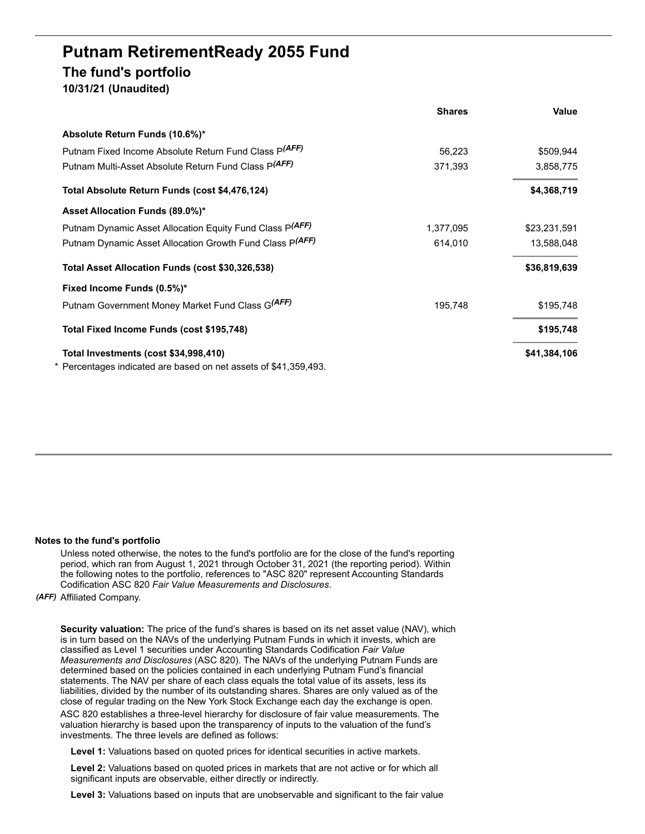# **Putnam RetirementReady 2055 Fund The fund's portfolio 10/31/21 (Unaudited)**

|                                                                  | <b>Shares</b> | Value        |
|------------------------------------------------------------------|---------------|--------------|
| Absolute Return Funds (10.6%)*                                   |               |              |
| Putnam Fixed Income Absolute Return Fund Class P(AFF)            | 56,223        | \$509,944    |
| Putnam Multi-Asset Absolute Return Fund Class P(AFF)             | 371,393       | 3,858,775    |
| Total Absolute Return Funds (cost \$4,476,124)                   |               | \$4,368,719  |
| Asset Allocation Funds (89.0%)*                                  |               |              |
| Putnam Dynamic Asset Allocation Equity Fund Class P(AFF)         | 1,377,095     | \$23,231,591 |
| Putnam Dynamic Asset Allocation Growth Fund Class P(AFF)         | 614,010       | 13,588,048   |
| Total Asset Allocation Funds (cost \$30,326,538)                 |               | \$36,819,639 |
| Fixed Income Funds (0.5%)*                                       |               |              |
| Putnam Government Money Market Fund Class G(AFF)                 | 195,748       | \$195,748    |
| Total Fixed Income Funds (cost \$195,748)                        |               | \$195,748    |
| Total Investments (cost \$34,998,410)                            |               | \$41,384,106 |
| * Percentages indicated are based on net assets of \$41,359,493. |               |              |

#### **Notes to the fund's portfolio**

Unless noted otherwise, the notes to the fund's portfolio are for the close of the fund's reporting period, which ran from August 1, 2021 through October 31, 2021 (the reporting period). Within the following notes to the portfolio, references to "ASC 820" represent Accounting Standards Codification ASC 820 *Fair Value Measurements and Disclosures*.

#### *(AFF)* Affiliated Company.

**Security valuation:** The price of the fund's shares is based on its net asset value (NAV), which is in turn based on the NAVs of the underlying Putnam Funds in which it invests, which are classified as Level 1 securities under Accounting Standards Codification *Fair Value Measurements and Disclosures* (ASC 820). The NAVs of the underlying Putnam Funds are determined based on the policies contained in each underlying Putnam Fund's financial statements. The NAV per share of each class equals the total value of its assets, less its liabilities, divided by the number of its outstanding shares. Shares are only valued as of the close of regular trading on the New York Stock Exchange each day the exchange is open.

ASC 820 establishes a three-level hierarchy for disclosure of fair value measurements. The valuation hierarchy is based upon the transparency of inputs to the valuation of the fund's investments. The three levels are defined as follows:

**Level 1:** Valuations based on quoted prices for identical securities in active markets.

**Level 2:** Valuations based on quoted prices in markets that are not active or for which all significant inputs are observable, either directly or indirectly.

**Level 3:** Valuations based on inputs that are unobservable and significant to the fair value